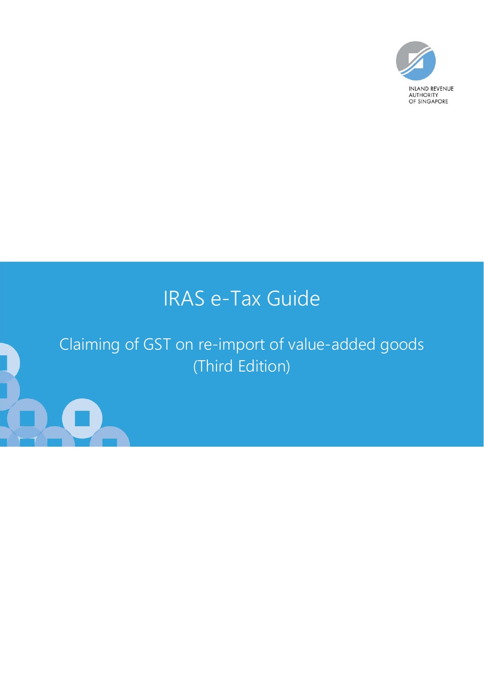

# IRAS e-Tax Guide

# Claiming of GST on re-import of value-added goods (Third Edition)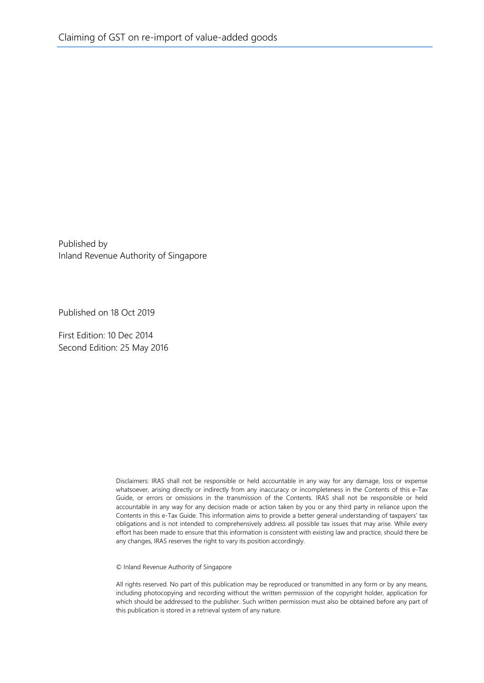Published by Inland Revenue Authority of Singapore

Published on 18 Oct 2019

First Edition: 10 Dec 2014 Second Edition: 25 May 2016

> Disclaimers: IRAS shall not be responsible or held accountable in any way for any damage, loss or expense whatsoever, arising directly or indirectly from any inaccuracy or incompleteness in the Contents of this e-Tax Guide, or errors or omissions in the transmission of the Contents. IRAS shall not be responsible or held accountable in any way for any decision made or action taken by you or any third party in reliance upon the Contents in this e-Tax Guide. This information aims to provide a better general understanding of taxpayers' tax obligations and is not intended to comprehensively address all possible tax issues that may arise. While every effort has been made to ensure that this information is consistent with existing law and practice, should there be any changes, IRAS reserves the right to vary its position accordingly.

© Inland Revenue Authority of Singapore

All rights reserved. No part of this publication may be reproduced or transmitted in any form or by any means, including photocopying and recording without the written permission of the copyright holder, application for which should be addressed to the publisher. Such written permission must also be obtained before any part of this publication is stored in a retrieval system of any nature.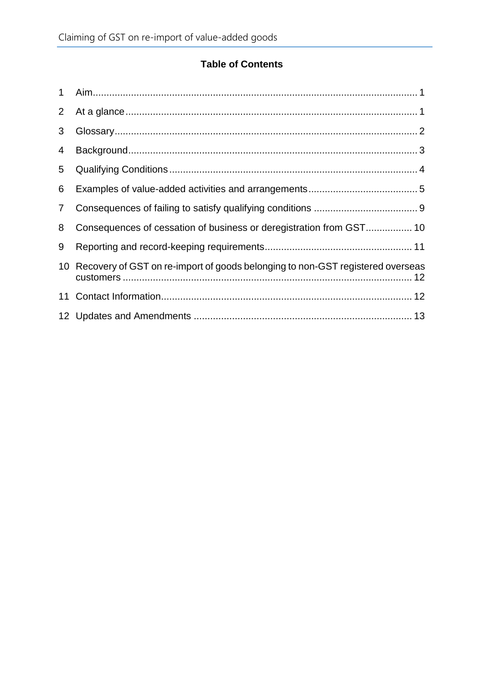## **Table of Contents**

| $\mathbf 1$    |                                                                                |  |
|----------------|--------------------------------------------------------------------------------|--|
| $\overline{2}$ |                                                                                |  |
| 3              |                                                                                |  |
| 4              |                                                                                |  |
| 5              |                                                                                |  |
| 6              |                                                                                |  |
| 7              |                                                                                |  |
| 8              |                                                                                |  |
| 9              |                                                                                |  |
| 10             | Recovery of GST on re-import of goods belonging to non-GST registered overseas |  |
| 11             |                                                                                |  |
|                |                                                                                |  |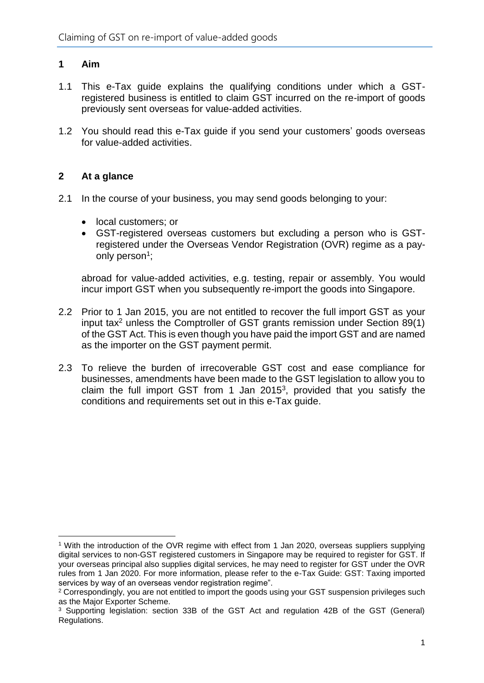## <span id="page-3-0"></span>**1 Aim**

- 1.1 This e-Tax guide explains the qualifying conditions under which a GSTregistered business is entitled to claim GST incurred on the re-import of goods previously sent overseas for value-added activities.
- 1.2 You should read this e-Tax guide if you send your customers' goods overseas for value-added activities.

#### <span id="page-3-1"></span>**2 At a glance**

1

- 2.1 In the course of your business, you may send goods belonging to your:
	- local customers; or
	- GST-registered overseas customers but excluding a person who is GSTregistered under the Overseas Vendor Registration (OVR) regime as a payonly person<sup>1</sup>;

abroad for value-added activities, e.g. testing, repair or assembly. You would incur import GST when you subsequently re-import the goods into Singapore.

- 2.2 Prior to 1 Jan 2015, you are not entitled to recover the full import GST as your input tax<sup>2</sup> unless the Comptroller of GST grants remission under Section 89(1) of the GST Act. This is even though you have paid the import GST and are named as the importer on the GST payment permit.
- 2.3 To relieve the burden of irrecoverable GST cost and ease compliance for businesses, amendments have been made to the GST legislation to allow you to claim the full import GST from 1 Jan  $2015<sup>3</sup>$ , provided that you satisfy the conditions and requirements set out in this e-Tax guide.

<sup>&</sup>lt;sup>1</sup> With the introduction of the OVR regime with effect from 1 Jan 2020, overseas suppliers supplying digital services to non-GST registered customers in Singapore may be required to register for GST. If your overseas principal also supplies digital services, he may need to register for GST under the OVR rules from 1 Jan 2020. For more information, please refer to the e-Tax Guide: GST: Taxing imported services by way of an overseas vendor registration regime".

<sup>2</sup> Correspondingly, you are not entitled to import the goods using your GST suspension privileges such as the Major Exporter Scheme.

<sup>3</sup> Supporting legislation: section 33B of the GST Act and regulation 42B of the GST (General) Regulations.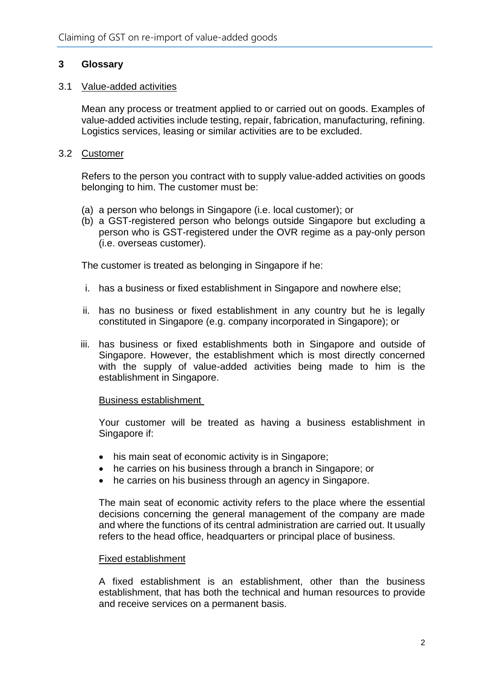### <span id="page-4-0"></span>**3 Glossary**

#### 3.1 Value-added activities

Mean any process or treatment applied to or carried out on goods. Examples of value-added activities include testing, repair, fabrication, manufacturing, refining. Logistics services, leasing or similar activities are to be excluded.

#### 3.2 Customer

Refers to the person you contract with to supply value-added activities on goods belonging to him. The customer must be:

- (a) a person who belongs in Singapore (i.e. local customer); or
- (b) a GST-registered person who belongs outside Singapore but excluding a person who is GST-registered under the OVR regime as a pay-only person (i.e. overseas customer).

The customer is treated as belonging in Singapore if he:

- i. has a business or fixed establishment in Singapore and nowhere else;
- ii. has no business or fixed establishment in any country but he is legally constituted in Singapore (e.g. company incorporated in Singapore); or
- iii. has business or fixed establishments both in Singapore and outside of Singapore. However, the establishment which is most directly concerned with the supply of value-added activities being made to him is the establishment in Singapore.

#### Business establishment

Your customer will be treated as having a business establishment in Singapore if:

- his main seat of economic activity is in Singapore;
- he carries on his business through a branch in Singapore; or
- he carries on his business through an agency in Singapore.

The main seat of economic activity refers to the place where the essential decisions concerning the general management of the company are made and where the functions of its central administration are carried out. It usually refers to the head office, headquarters or principal place of business.

#### Fixed establishment

A fixed establishment is an establishment, other than the business establishment, that has both the technical and human resources to provide and receive services on a permanent basis.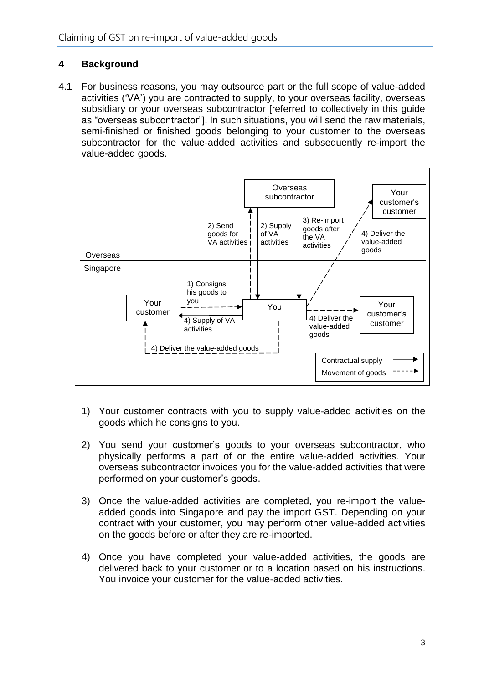## <span id="page-5-0"></span>**4 Background**

4.1 For business reasons, you may outsource part or the full scope of value-added activities ('VA') you are contracted to supply, to your overseas facility, overseas subsidiary or your overseas subcontractor [referred to collectively in this guide as "overseas subcontractor"]. In such situations, you will send the raw materials, semi-finished or finished goods belonging to your customer to the overseas subcontractor for the value-added activities and subsequently re-import the value-added goods.



- 1) Your customer contracts with you to supply value-added activities on the goods which he consigns to you.
- 2) You send your customer's goods to your overseas subcontractor, who physically performs a part of or the entire value-added activities. Your overseas subcontractor invoices you for the value-added activities that were performed on your customer's goods.
- 3) Once the value-added activities are completed, you re-import the valueadded goods into Singapore and pay the import GST. Depending on your contract with your customer, you may perform other value-added activities on the goods before or after they are re-imported.
- 4) Once you have completed your value-added activities, the goods are delivered back to your customer or to a location based on his instructions. You invoice your customer for the value-added activities.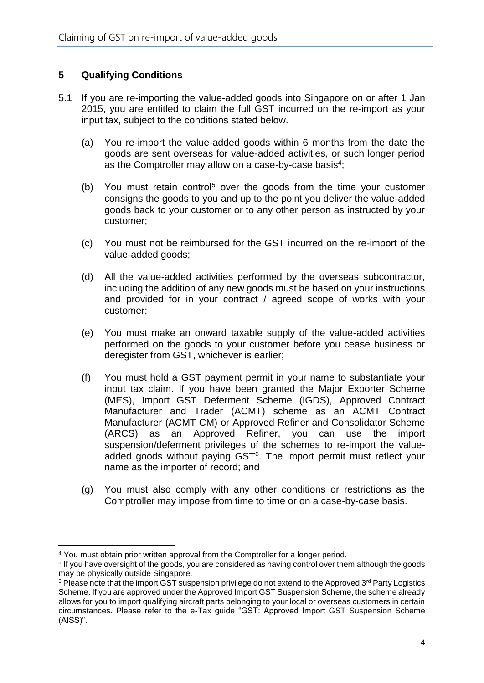#### <span id="page-6-0"></span>**5 Qualifying Conditions**

- 5.1 If you are re-importing the value-added goods into Singapore on or after 1 Jan 2015, you are entitled to claim the full GST incurred on the re-import as your input tax, subject to the conditions stated below.
	- (a) You re-import the value-added goods within 6 months from the date the goods are sent overseas for value-added activities, or such longer period as the Comptroller may allow on a case-by-case basis<sup>4</sup>;
	- (b) You must retain control<sup>5</sup> over the goods from the time your customer consigns the goods to you and up to the point you deliver the value-added goods back to your customer or to any other person as instructed by your customer;
	- (c) You must not be reimbursed for the GST incurred on the re-import of the value-added goods;
	- (d) All the value-added activities performed by the overseas subcontractor, including the addition of any new goods must be based on your instructions and provided for in your contract / agreed scope of works with your customer;
	- (e) You must make an onward taxable supply of the value-added activities performed on the goods to your customer before you cease business or deregister from GST, whichever is earlier;
	- (f) You must hold a GST payment permit in your name to substantiate your input tax claim. If you have been granted the Major Exporter Scheme (MES), Import GST Deferment Scheme (IGDS), Approved Contract Manufacturer and Trader (ACMT) scheme as an ACMT Contract Manufacturer (ACMT CM) or Approved Refiner and Consolidator Scheme (ARCS) as an Approved Refiner, you can use the import suspension/deferment privileges of the schemes to re-import the valueadded goods without paying GST<sup>6</sup>. The import permit must reflect your name as the importer of record; and
	- (g) You must also comply with any other conditions or restrictions as the Comptroller may impose from time to time or on a case-by-case basis.

<sup>&</sup>lt;u>.</u> <sup>4</sup> You must obtain prior written approval from the Comptroller for a longer period.

<sup>5</sup> If you have oversight of the goods, you are considered as having control over them although the goods may be physically outside Singapore.

 $6$  Please note that the import GST suspension privilege do not extend to the Approved  $3<sup>rd</sup>$  Party Logistics Scheme. If you are approved under the Approved Import GST Suspension Scheme, the scheme already allows for you to import qualifying aircraft parts belonging to your local or overseas customers in certain circumstances. Please refer to the e-Tax guide "GST: Approved Import GST Suspension Scheme (AISS)".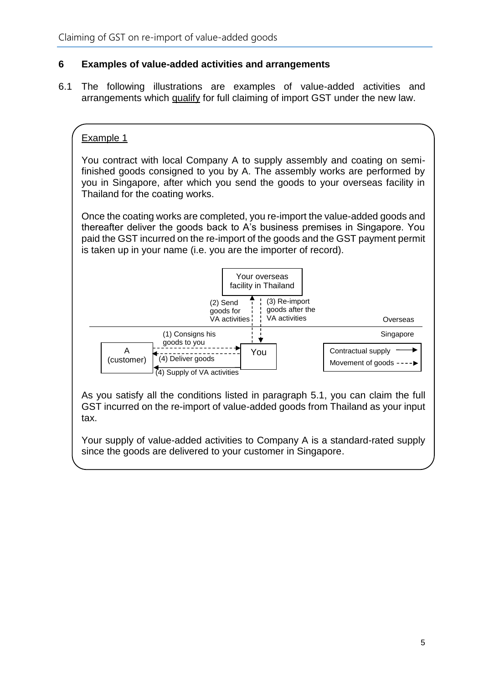#### <span id="page-7-0"></span>**6 Examples of value-added activities and arrangements**

6.1 The following illustrations are examples of value-added activities and arrangements which qualify for full claiming of import GST under the new law.

## Example 1

You contract with local Company A to supply assembly and coating on semifinished goods consigned to you by A. The assembly works are performed by you in Singapore, after which you send the goods to your overseas facility in Thailand for the coating works.

Once the coating works are completed, you re-import the value-added goods and thereafter deliver the goods back to A's business premises in Singapore. You paid the GST incurred on the re-import of the goods and the GST payment permit is taken up in your name (i.e. you are the importer of record).



As you satisfy all the conditions listed in paragraph 5.1, you can claim the full GST incurred on the re-import of value-added goods from Thailand as your input tax.

Your supply of value-added activities to Company A is a standard-rated supply since the goods are delivered to your customer in Singapore.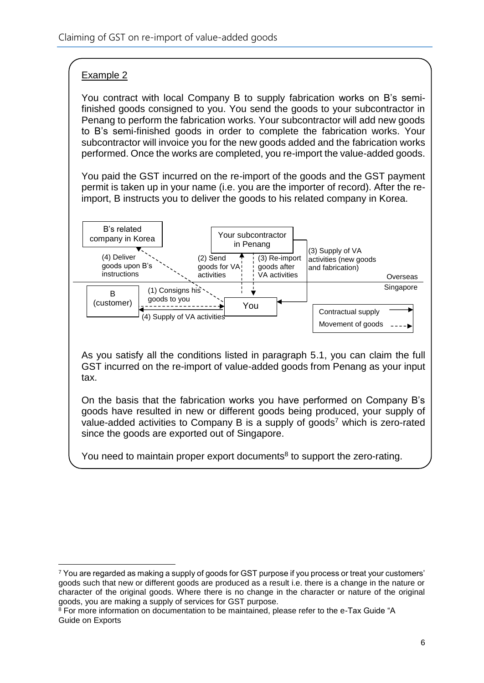## Example 2

You contract with local Company B to supply fabrication works on B's semifinished goods consigned to you. You send the goods to your subcontractor in Penang to perform the fabrication works. Your subcontractor will add new goods to B's semi-finished goods in order to complete the fabrication works. Your subcontractor will invoice you for the new goods added and the fabrication works performed. Once the works are completed, you re-import the value-added goods.

You paid the GST incurred on the re-import of the goods and the GST payment permit is taken up in your name (i.e. you are the importer of record). After the reimport, B instructs you to deliver the goods to his related company in Korea.



As you satisfy all the conditions listed in paragraph 5.1, you can claim the full GST incurred on the re-import of value-added goods from Penang as your input tax.

On the basis that the fabrication works you have performed on Company B's goods have resulted in new or different goods being produced, your supply of value-added activities to Company B is a supply of goods<sup>7</sup> which is zero-rated since the goods are exported out of Singapore.

You need to maintain proper export documents<sup>8</sup> to support the zero-rating.

<sup>1</sup> <sup>7</sup> You are regarded as making a supply of goods for GST purpose if you process or treat your customers' goods such that new or different goods are produced as a result i.e. there is a change in the nature or character of the original goods. Where there is no change in the character or nature of the original goods, you are making a supply of services for GST purpose.

<sup>&</sup>lt;sup>8</sup> For more information on documentation to be maintained, please refer to the e-Tax Guide "A Guide on Exports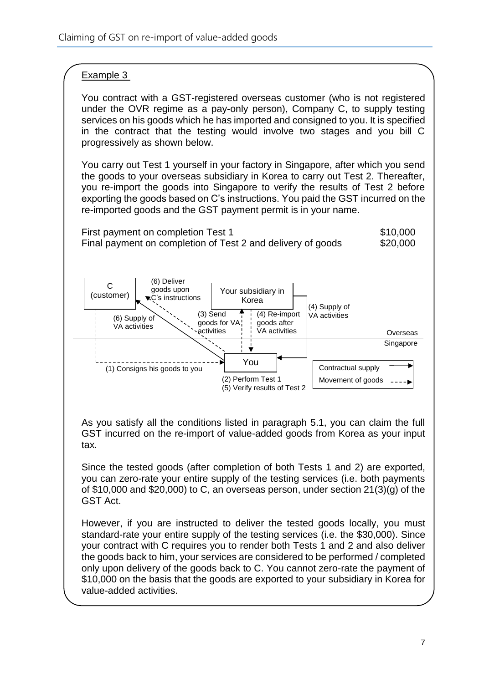### Example 3

You contract with a GST-registered overseas customer (who is not registered under the OVR regime as a pay-only person), Company C, to supply testing services on his goods which he has imported and consigned to you. It is specified in the contract that the testing would involve two stages and you bill C progressively as shown below.

You carry out Test 1 yourself in your factory in Singapore, after which you send the goods to your overseas subsidiary in Korea to carry out Test 2. Thereafter, you re-import the goods into Singapore to verify the results of Test 2 before exporting the goods based on C's instructions. You paid the GST incurred on the re-imported goods and the GST payment permit is in your name.





As you satisfy all the conditions listed in paragraph 5.1, you can claim the full GST incurred on the re-import of value-added goods from Korea as your input tax.

Since the tested goods (after completion of both Tests 1 and 2) are exported, you can zero-rate your entire supply of the testing services (i.e. both payments of \$10,000 and \$20,000) to C, an overseas person, under section 21(3)(g) of the GST Act.

However, if you are instructed to deliver the tested goods locally, you must standard-rate your entire supply of the testing services (i.e. the \$30,000). Since your contract with C requires you to render both Tests 1 and 2 and also deliver the goods back to him, your services are considered to be performed / completed only upon delivery of the goods back to C. You cannot zero-rate the payment of \$10,000 on the basis that the goods are exported to your subsidiary in Korea for value-added activities.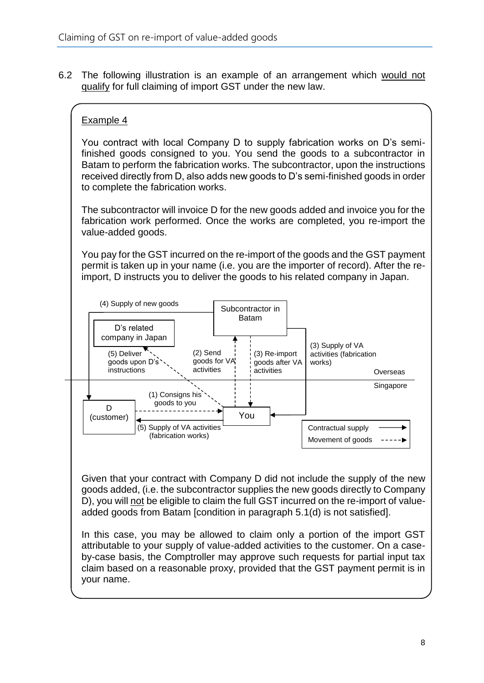6.2 The following illustration is an example of an arrangement which would not qualify for full claiming of import GST under the new law.

## Example 4

You contract with local Company D to supply fabrication works on D's semifinished goods consigned to you. You send the goods to a subcontractor in Batam to perform the fabrication works. The subcontractor, upon the instructions received directly from D, also adds new goods to D's semi-finished goods in order to complete the fabrication works.

The subcontractor will invoice D for the new goods added and invoice you for the fabrication work performed. Once the works are completed, you re-import the value-added goods.

You pay for the GST incurred on the re-import of the goods and the GST payment permit is taken up in your name (i.e. you are the importer of record). After the reimport, D instructs you to deliver the goods to his related company in Japan.



Given that your contract with Company D did not include the supply of the new goods added, (i.e. the subcontractor supplies the new goods directly to Company D), you will not be eligible to claim the full GST incurred on the re-import of valueadded goods from Batam [condition in paragraph 5.1(d) is not satisfied].

In this case, you may be allowed to claim only a portion of the import GST attributable to your supply of value-added activities to the customer. On a caseby-case basis, the Comptroller may approve such requests for partial input tax claim based on a reasonable proxy, provided that the GST payment permit is in your name.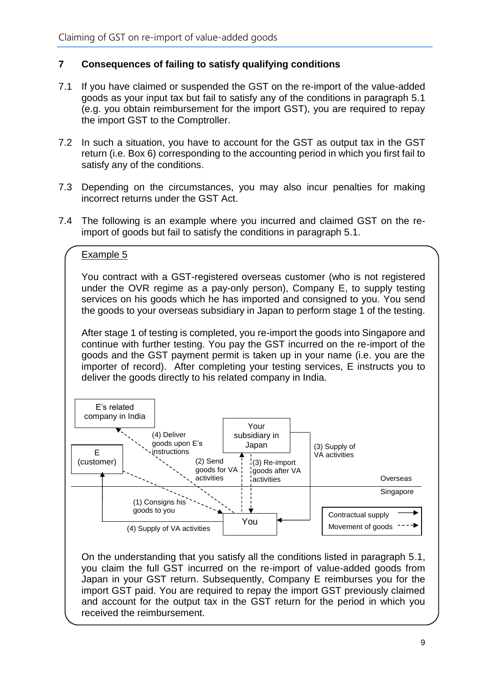#### <span id="page-11-0"></span>**7 Consequences of failing to satisfy qualifying conditions**

- 7.1 If you have claimed or suspended the GST on the re-import of the value-added goods as your input tax but fail to satisfy any of the conditions in paragraph 5.1 (e.g. you obtain reimbursement for the import GST), you are required to repay the import GST to the Comptroller.
- 7.2 In such a situation, you have to account for the GST as output tax in the GST return (i.e. Box 6) corresponding to the accounting period in which you first fail to satisfy any of the conditions.
- 7.3 Depending on the circumstances, you may also incur penalties for making incorrect returns under the GST Act.
- 7.4 The following is an example where you incurred and claimed GST on the reimport of goods but fail to satisfy the conditions in paragraph 5.1.

#### Example 5

You contract with a GST-registered overseas customer (who is not registered under the OVR regime as a pay-only person), Company E, to supply testing services on his goods which he has imported and consigned to you. You send the goods to your overseas subsidiary in Japan to perform stage 1 of the testing.

After stage 1 of testing is completed, you re-import the goods into Singapore and continue with further testing. You pay the GST incurred on the re-import of the goods and the GST payment permit is taken up in your name (i.e. you are the importer of record). After completing your testing services, E instructs you to deliver the goods directly to his related company in India.



On the understanding that you satisfy all the conditions listed in paragraph 5.1, you claim the full GST incurred on the re-import of value-added goods from Japan in your GST return. Subsequently, Company E reimburses you for the import GST paid. You are required to repay the import GST previously claimed and account for the output tax in the GST return for the period in which you received the reimbursement.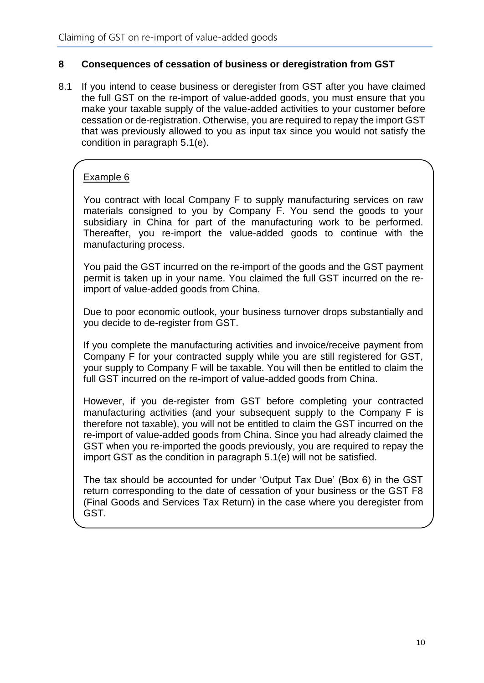#### <span id="page-12-0"></span>**8 Consequences of cessation of business or deregistration from GST**

8.1 If you intend to cease business or deregister from GST after you have claimed the full GST on the re-import of value-added goods, you must ensure that you make your taxable supply of the value-added activities to your customer before cessation or de-registration. Otherwise, you are required to repay the import GST that was previously allowed to you as input tax since you would not satisfy the condition in paragraph 5.1(e).

### Example 6

You contract with local Company F to supply manufacturing services on raw materials consigned to you by Company F. You send the goods to your subsidiary in China for part of the manufacturing work to be performed. Thereafter, you re-import the value-added goods to continue with the manufacturing process.

You paid the GST incurred on the re-import of the goods and the GST payment permit is taken up in your name. You claimed the full GST incurred on the reimport of value-added goods from China.

Due to poor economic outlook, your business turnover drops substantially and you decide to de-register from GST.

If you complete the manufacturing activities and invoice/receive payment from Company F for your contracted supply while you are still registered for GST, your supply to Company F will be taxable. You will then be entitled to claim the full GST incurred on the re-import of value-added goods from China.

However, if you de-register from GST before completing your contracted manufacturing activities (and your subsequent supply to the Company F is therefore not taxable), you will not be entitled to claim the GST incurred on the re-import of value-added goods from China. Since you had already claimed the GST when you re-imported the goods previously, you are required to repay the import GST as the condition in paragraph 5.1(e) will not be satisfied.

The tax should be accounted for under 'Output Tax Due' (Box 6) in the GST return corresponding to the date of cessation of your business or the GST F8 (Final Goods and Services Tax Return) in the case where you deregister from GST.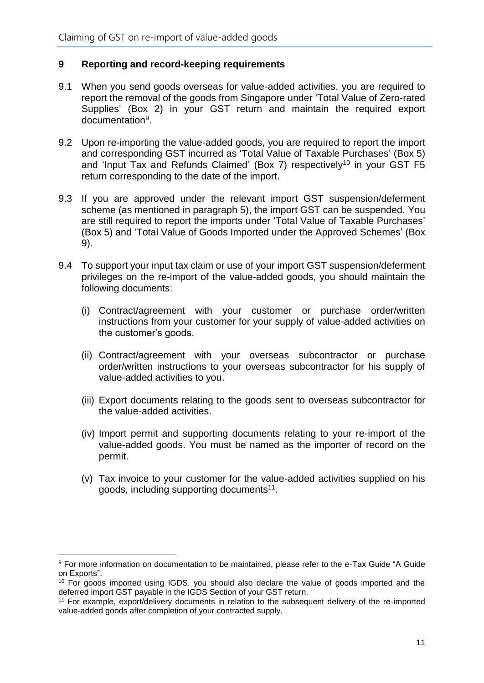#### <span id="page-13-0"></span>**9 Reporting and record-keeping requirements**

- 9.1 When you send goods overseas for value-added activities, you are required to report the removal of the goods from Singapore under 'Total Value of Zero-rated Supplies' (Box 2) in your GST return and maintain the required export documentation<sup>9</sup>.
- 9.2 Upon re-importing the value-added goods, you are required to report the import and corresponding GST incurred as 'Total Value of Taxable Purchases' (Box 5) and 'Input Tax and Refunds Claimed' (Box 7) respectively<sup>10</sup> in your GST F5 return corresponding to the date of the import.
- 9.3 If you are approved under the relevant import GST suspension/deferment scheme (as mentioned in paragraph 5), the import GST can be suspended. You are still required to report the imports under 'Total Value of Taxable Purchases' (Box 5) and 'Total Value of Goods Imported under the Approved Schemes' (Box 9).
- 9.4 To support your input tax claim or use of your import GST suspension/deferment privileges on the re-import of the value-added goods, you should maintain the following documents:
	- (i) Contract/agreement with your customer or purchase order/written instructions from your customer for your supply of value-added activities on the customer's goods.
	- (ii) Contract/agreement with your overseas subcontractor or purchase order/written instructions to your overseas subcontractor for his supply of value-added activities to you.
	- (iii) Export documents relating to the goods sent to overseas subcontractor for the value-added activities.
	- (iv) Import permit and supporting documents relating to your re-import of the value-added goods. You must be named as the importer of record on the permit.
	- (v) Tax invoice to your customer for the value-added activities supplied on his goods, including supporting documents<sup>11</sup>.

<sup>1</sup> <sup>9</sup> For more information on documentation to be maintained, please refer to the e-Tax Guide "A Guide on Exports".

<sup>&</sup>lt;sup>10</sup> For goods imported using IGDS, you should also declare the value of goods imported and the deferred import GST payable in the IGDS Section of your GST return.

<sup>11</sup> For example, export/delivery documents in relation to the subsequent delivery of the re-imported value-added goods after completion of your contracted supply.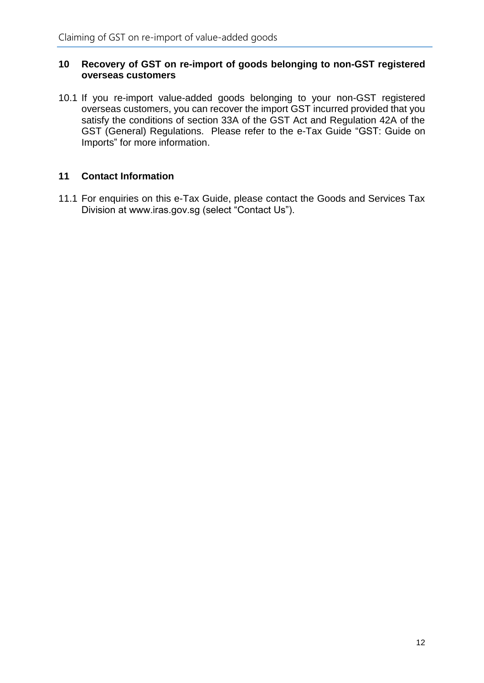#### <span id="page-14-0"></span>**10 Recovery of GST on re-import of goods belonging to non-GST registered overseas customers**

10.1 If you re-import value-added goods belonging to your non-GST registered overseas customers, you can recover the import GST incurred provided that you satisfy the conditions of section 33A of the GST Act and Regulation 42A of the GST (General) Regulations. Please refer to the e-Tax Guide "GST: Guide on Imports" for more information.

### <span id="page-14-1"></span>**11 Contact Information**

11.1 For enquiries on this e-Tax Guide, please contact the Goods and Services Tax Division at www.iras.gov.sg (select "Contact Us").